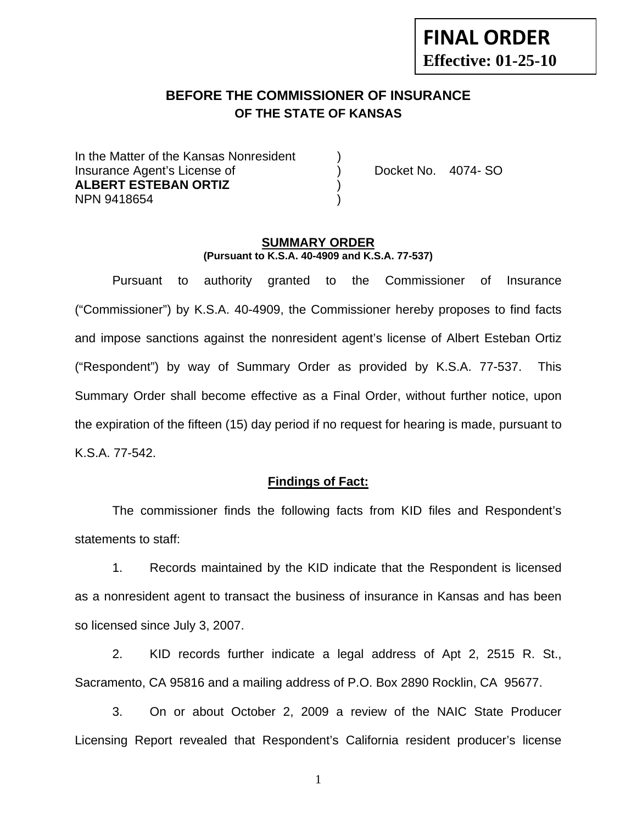# **FINAL ORDER Effective: 01-25-10**

## **BEFORE THE COMMISSIONER OF INSURANCE OF THE STATE OF KANSAS**

In the Matter of the Kansas Nonresident Insurance Agent's License of ) Docket No. 4074- SO **ALBERT ESTEBAN ORTIZ** ) NPN 9418654 )

#### **SUMMARY ORDER (Pursuant to K.S.A. 40-4909 and K.S.A. 77-537)**

 Pursuant to authority granted to the Commissioner of Insurance ("Commissioner") by K.S.A. 40-4909, the Commissioner hereby proposes to find facts and impose sanctions against the nonresident agent's license of Albert Esteban Ortiz ("Respondent") by way of Summary Order as provided by K.S.A. 77-537. This Summary Order shall become effective as a Final Order, without further notice, upon the expiration of the fifteen (15) day period if no request for hearing is made, pursuant to K.S.A. 77-542.

#### **Findings of Fact:**

 The commissioner finds the following facts from KID files and Respondent's statements to staff:

 1. Records maintained by the KID indicate that the Respondent is licensed as a nonresident agent to transact the business of insurance in Kansas and has been so licensed since July 3, 2007.

 2. KID records further indicate a legal address of Apt 2, 2515 R. St., Sacramento, CA 95816 and a mailing address of P.O. Box 2890 Rocklin, CA 95677.

 3. On or about October 2, 2009 a review of the NAIC State Producer Licensing Report revealed that Respondent's California resident producer's license

1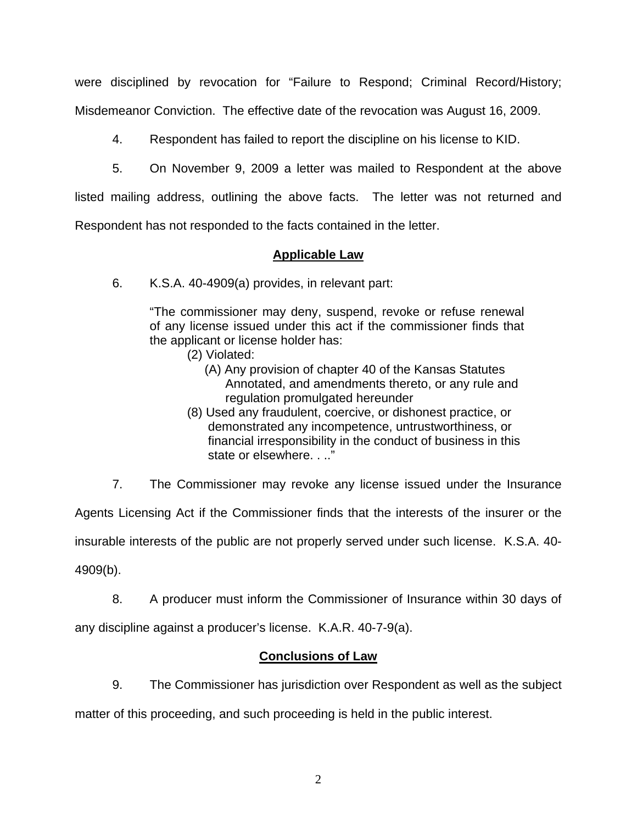were disciplined by revocation for "Failure to Respond; Criminal Record/History; Misdemeanor Conviction. The effective date of the revocation was August 16, 2009.

4. Respondent has failed to report the discipline on his license to KID.

5. On November 9, 2009 a letter was mailed to Respondent at the above

listed mailing address, outlining the above facts. The letter was not returned and

Respondent has not responded to the facts contained in the letter.

#### **Applicable Law**

6. K.S.A. 40-4909(a) provides, in relevant part:

"The commissioner may deny, suspend, revoke or refuse renewal of any license issued under this act if the commissioner finds that the applicant or license holder has:

- (2) Violated:
	- (A) Any provision of chapter 40 of the Kansas Statutes Annotated, and amendments thereto, or any rule and regulation promulgated hereunder
- (8) Used any fraudulent, coercive, or dishonest practice, or demonstrated any incompetence, untrustworthiness, or financial irresponsibility in the conduct of business in this state or elsewhere. . .."

7. The Commissioner may revoke any license issued under the Insurance

Agents Licensing Act if the Commissioner finds that the interests of the insurer or the

insurable interests of the public are not properly served under such license. K.S.A. 40-

4909(b).

 8. A producer must inform the Commissioner of Insurance within 30 days of any discipline against a producer's license. K.A.R. 40-7-9(a).

#### **Conclusions of Law**

 9. The Commissioner has jurisdiction over Respondent as well as the subject matter of this proceeding, and such proceeding is held in the public interest.

2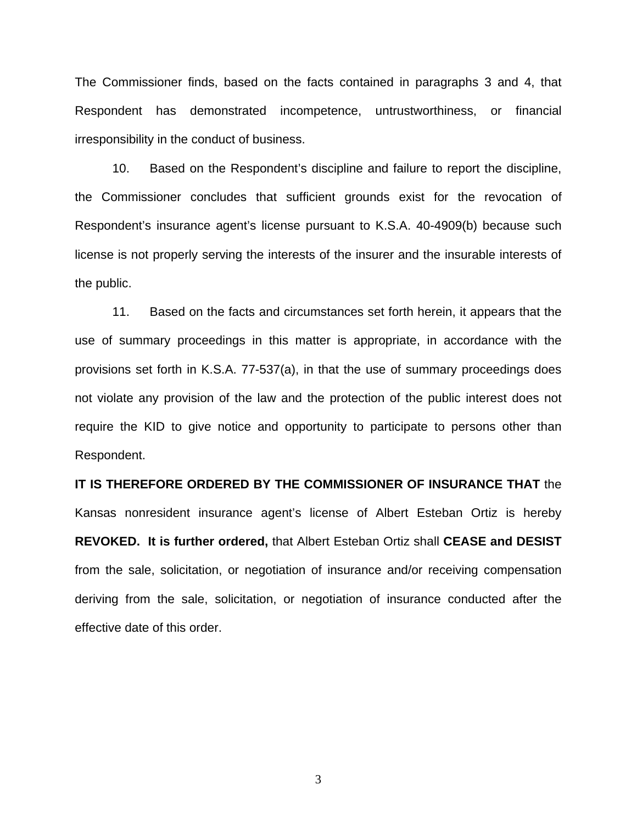The Commissioner finds, based on the facts contained in paragraphs 3 and 4, that Respondent has demonstrated incompetence, untrustworthiness, or financial irresponsibility in the conduct of business.

 10. Based on the Respondent's discipline and failure to report the discipline, the Commissioner concludes that sufficient grounds exist for the revocation of Respondent's insurance agent's license pursuant to K.S.A. 40-4909(b) because such license is not properly serving the interests of the insurer and the insurable interests of the public.

 11. Based on the facts and circumstances set forth herein, it appears that the use of summary proceedings in this matter is appropriate, in accordance with the provisions set forth in K.S.A. 77-537(a), in that the use of summary proceedings does not violate any provision of the law and the protection of the public interest does not require the KID to give notice and opportunity to participate to persons other than Respondent.

**IT IS THEREFORE ORDERED BY THE COMMISSIONER OF INSURANCE THAT** the Kansas nonresident insurance agent's license of Albert Esteban Ortiz is hereby **REVOKED. It is further ordered,** that Albert Esteban Ortiz shall **CEASE and DESIST** from the sale, solicitation, or negotiation of insurance and/or receiving compensation deriving from the sale, solicitation, or negotiation of insurance conducted after the effective date of this order.

3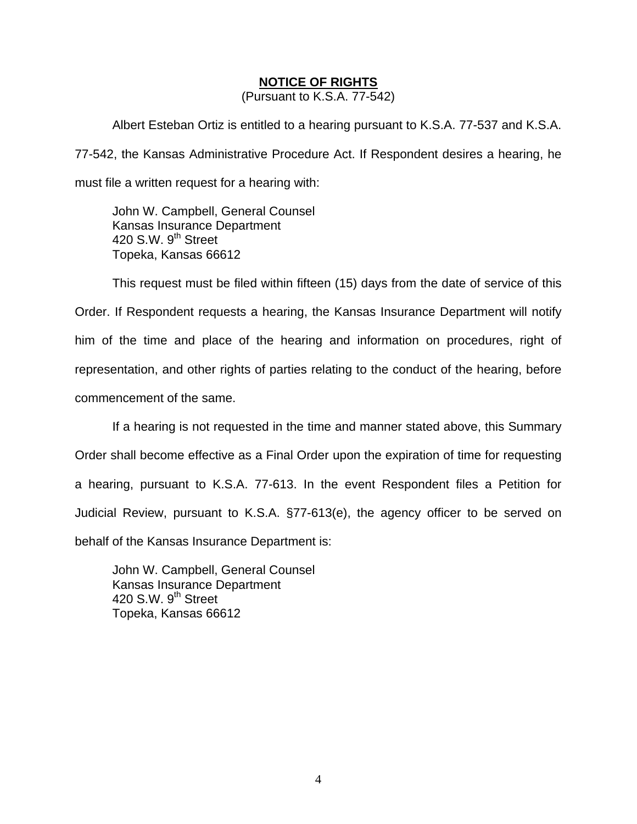#### **NOTICE OF RIGHTS**

(Pursuant to K.S.A. 77-542)

Albert Esteban Ortiz is entitled to a hearing pursuant to K.S.A. 77-537 and K.S.A. 77-542, the Kansas Administrative Procedure Act. If Respondent desires a hearing, he must file a written request for a hearing with:

 John W. Campbell, General Counsel Kansas Insurance Department 420 S.W.  $9<sup>th</sup>$  Street Topeka, Kansas 66612

This request must be filed within fifteen (15) days from the date of service of this Order. If Respondent requests a hearing, the Kansas Insurance Department will notify him of the time and place of the hearing and information on procedures, right of representation, and other rights of parties relating to the conduct of the hearing, before commencement of the same.

If a hearing is not requested in the time and manner stated above, this Summary Order shall become effective as a Final Order upon the expiration of time for requesting a hearing, pursuant to K.S.A. 77-613. In the event Respondent files a Petition for Judicial Review, pursuant to K.S.A. §77-613(e), the agency officer to be served on behalf of the Kansas Insurance Department is:

 John W. Campbell, General Counsel Kansas Insurance Department 420 S.W. 9<sup>th</sup> Street Topeka, Kansas 66612